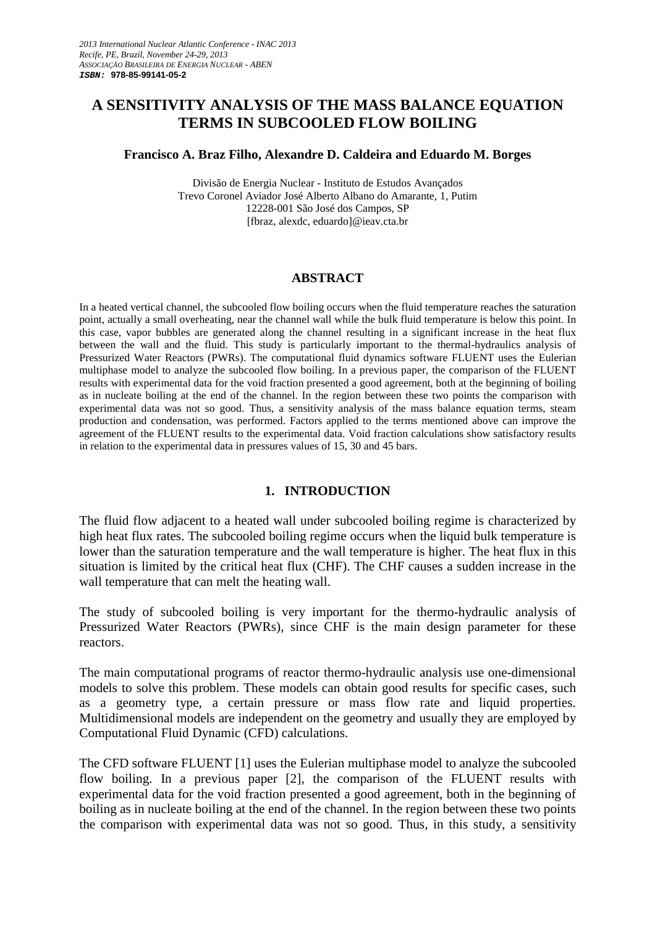# **A SENSITIVITY ANALYSIS OF THE MASS BALANCE EQUATION TERMS IN SUBCOOLED FLOW BOILING**

#### **Francisco A. Braz Filho, Alexandre D. Caldeira and Eduardo M. Borges**

Divisão de Energia Nuclear - Instituto de Estudos Avançados Trevo Coronel Aviador José Alberto Albano do Amarante, 1, Putim 12228-001 São José dos Campos, SP [fbraz, alexdc, eduardo]@ieav.cta.br

### **ABSTRACT**

In a heated vertical channel, the subcooled flow boiling occurs when the fluid temperature reaches the saturation point, actually a small overheating, near the channel wall while the bulk fluid temperature is below this point. In this case, vapor bubbles are generated along the channel resulting in a significant increase in the heat flux between the wall and the fluid. This study is particularly important to the thermal-hydraulics analysis of Pressurized Water Reactors (PWRs). The computational fluid dynamics software FLUENT uses the Eulerian multiphase model to analyze the subcooled flow boiling. In a previous paper, the comparison of the FLUENT results with experimental data for the void fraction presented a good agreement, both at the beginning of boiling as in nucleate boiling at the end of the channel. In the region between these two points the comparison with experimental data was not so good. Thus, a sensitivity analysis of the mass balance equation terms, steam production and condensation, was performed. Factors applied to the terms mentioned above can improve the agreement of the FLUENT results to the experimental data. Void fraction calculations show satisfactory results in relation to the experimental data in pressures values of 15, 30 and 45 bars.

### **1. INTRODUCTION**

The fluid flow adjacent to a heated wall under subcooled boiling regime is characterized by high heat flux rates. The subcooled boiling regime occurs when the liquid bulk temperature is lower than the saturation temperature and the wall temperature is higher. The heat flux in this situation is limited by the critical heat flux (CHF). The CHF causes a sudden increase in the wall temperature that can melt the heating wall.

The study of subcooled boiling is very important for the thermo-hydraulic analysis of Pressurized Water Reactors (PWRs), since CHF is the main design parameter for these reactors.

The main computational programs of reactor thermo-hydraulic analysis use one-dimensional models to solve this problem. These models can obtain good results for specific cases, such as a geometry type, a certain pressure or mass flow rate and liquid properties. Multidimensional models are independent on the geometry and usually they are employed by Computational Fluid Dynamic (CFD) calculations.

The CFD software FLUENT [1] uses the Eulerian multiphase model to analyze the subcooled flow boiling. In a previous paper [2], the comparison of the FLUENT results with experimental data for the void fraction presented a good agreement, both in the beginning of boiling as in nucleate boiling at the end of the channel. In the region between these two points the comparison with experimental data was not so good. Thus, in this study, a sensitivity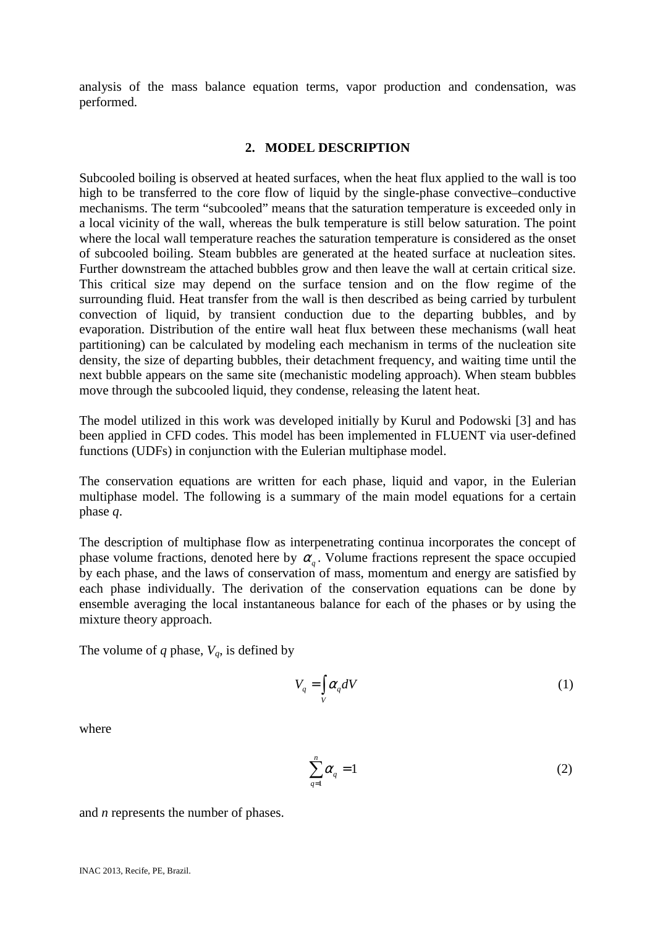analysis of the mass balance equation terms, vapor production and condensation, was performed.

### **2. MODEL DESCRIPTION**

Subcooled boiling is observed at heated surfaces, when the heat flux applied to the wall is too high to be transferred to the core flow of liquid by the single-phase convective–conductive mechanisms. The term "subcooled" means that the saturation temperature is exceeded only in a local vicinity of the wall, whereas the bulk temperature is still below saturation. The point where the local wall temperature reaches the saturation temperature is considered as the onset of subcooled boiling. Steam bubbles are generated at the heated surface at nucleation sites. Further downstream the attached bubbles grow and then leave the wall at certain critical size. This critical size may depend on the surface tension and on the flow regime of the surrounding fluid. Heat transfer from the wall is then described as being carried by turbulent convection of liquid, by transient conduction due to the departing bubbles, and by evaporation. Distribution of the entire wall heat flux between these mechanisms (wall heat partitioning) can be calculated by modeling each mechanism in terms of the nucleation site density, the size of departing bubbles, their detachment frequency, and waiting time until the next bubble appears on the same site (mechanistic modeling approach). When steam bubbles move through the subcooled liquid, they condense, releasing the latent heat.

The model utilized in this work was developed initially by Kurul and Podowski [3] and has been applied in CFD codes. This model has been implemented in FLUENT via user-defined functions (UDFs) in conjunction with the Eulerian multiphase model.

The conservation equations are written for each phase, liquid and vapor, in the Eulerian multiphase model. The following is a summary of the main model equations for a certain phase *q*.

The description of multiphase flow as interpenetrating continua incorporates the concept of phase volume fractions, denoted here by  $\alpha_q$ . Volume fractions represent the space occupied by each phase, and the laws of conservation of mass, momentum and energy are satisfied by each phase individually. The derivation of the conservation equations can be done by ensemble averaging the local instantaneous balance for each of the phases or by using the mixture theory approach.

The volume of *q* phase,  $V_q$ , is defined by

$$
V_q = \int\limits_V \alpha_q dV \tag{1}
$$

where

$$
\sum_{q=1}^{n} \alpha_q = 1 \tag{2}
$$

and *n* represents the number of phases.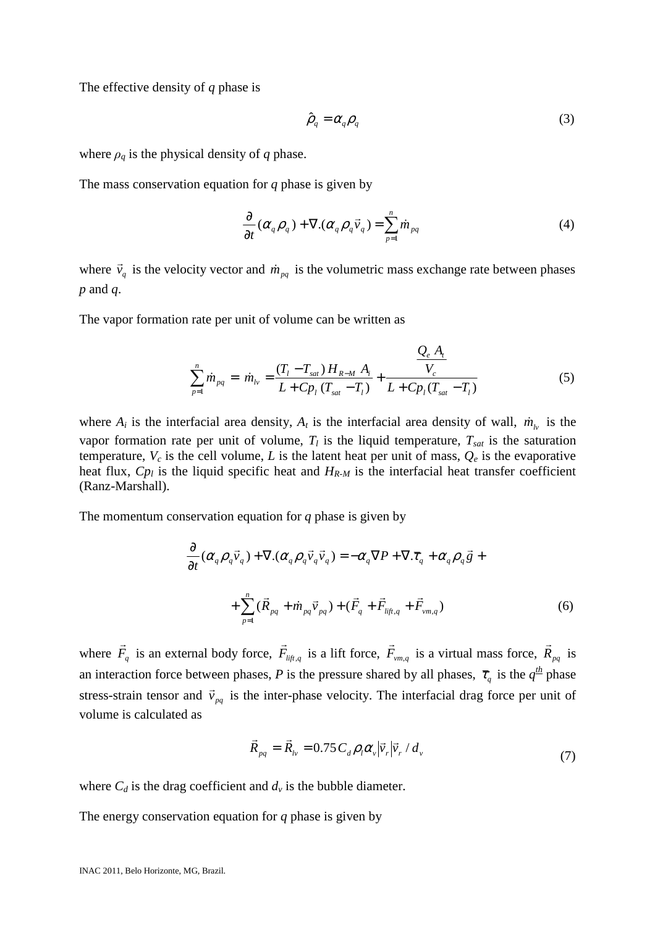The effective density of *q* phase is

$$
\hat{\rho}_q = \alpha_q \rho_q \tag{3}
$$

where  $\rho_q$  is the physical density of *q* phase.

The mass conservation equation for *q* phase is given by

$$
\frac{\partial}{\partial t}(\alpha_q \rho_q) + \nabla \cdot (\alpha_q \rho_q \vec{v}_q) = \sum_{p=1}^n \dot{m}_{pq} \tag{4}
$$

where  $\vec{v}_q$  $\vec{v}_q$  is the velocity vector and  $\dot{m}_{pq}$  is the volumetric mass exchange rate between phases *p* and *q*.

The vapor formation rate per unit of volume can be written as

$$
\sum_{p=1}^{n} \dot{m}_{pq} = \dot{m}_{lv} = \frac{(T_l - T_{sat})H_{R-M}A_i}{L + C p_l (T_{sat} - T_l)} + \frac{Q_e A_t}{L + C p_l (T_{sat} - T_l)}
$$
(5)

where  $A_i$  is the interfacial area density,  $A_t$  is the interfacial area density of wall,  $\dot{m}_{l\nu}$  is the vapor formation rate per unit of volume,  $T_l$  is the liquid temperature,  $T_{sat}$  is the saturation temperature,  $V_c$  is the cell volume, *L* is the latent heat per unit of mass,  $Q_e$  is the evaporative heat flux,  $C_{p_l}$  is the liquid specific heat and  $H_{R-M}$  is the interfacial heat transfer coefficient (Ranz-Marshall).

The momentum conservation equation for *q* phase is given by

$$
\frac{\partial}{\partial t}(\alpha_q \rho_q \vec{v}_q) + \nabla \cdot (\alpha_q \rho_q \vec{v}_q \vec{v}_q) = -\alpha_q \nabla P + \nabla \cdot \overline{\tau}_q + \alpha_q \rho_q \vec{g} +
$$
\n
$$
+ \sum_{p=1}^n (\vec{R}_{pq} + \dot{m}_{pq} \vec{v}_{pq}) + (\vec{F}_q + \vec{F}_{\text{lift},q} + \vec{F}_{\text{vm},q}) \tag{6}
$$

where *F<sup>q</sup>*  $\vec{F}_q$  is an external body force,  $\vec{F}_{lift,q}$  $\vec{F}_{li\hat{t},q}$  is a lift force,  $\vec{F}_{vm,q}$  $\vec{F}_{vm,q}$  is a virtual mass force,  $\vec{R}_{pq}$  $\vec{R}_{pa}$  is an interaction force between phases, *P* is the pressure shared by all phases,  $\bar{\tau}_q$  is the  $q^{\frac{th}{2}}$  phase stress-strain tensor and  $\vec{v}_{pq}$  $\vec{v}_{pa}$  is the inter-phase velocity. The interfacial drag force per unit of volume is calculated as

$$
\vec{R}_{pq} = \vec{R}_{lv} = 0.75 C_d \rho_l \alpha_v |\vec{v}_r| \vec{v}_r / d_v
$$
\n(7)

where  $C_d$  is the drag coefficient and  $d_v$  is the bubble diameter.

The energy conservation equation for *q* phase is given by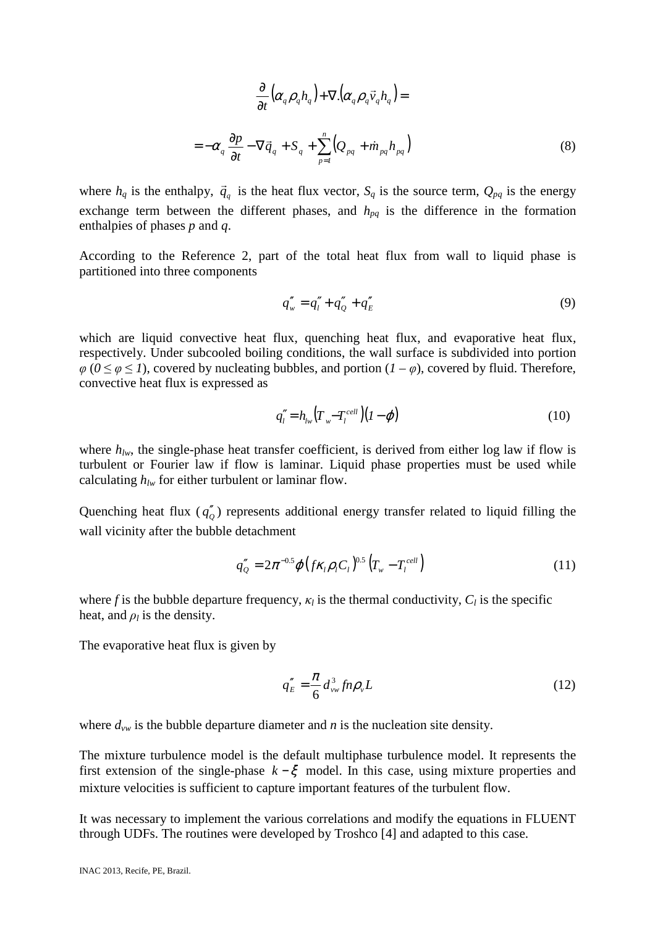$$
\frac{\partial}{\partial t} \left( \alpha_q \rho_q h_q \right) + \nabla \left( \alpha_q \rho_q \vec{v}_q h_q \right) =
$$
\n
$$
= -\alpha_q \frac{\partial p}{\partial t} - \nabla \vec{q}_q + S_q + \sum_{p=1}^n \left( Q_{pq} + \dot{m}_{pq} h_{pq} \right)
$$
\n(8)

where  $h_q$  is the enthalpy,  $\vec{q}_q$  $\vec{q}_a$  is the heat flux vector,  $S_q$  is the source term,  $Q_{pq}$  is the energy exchange term between the different phases, and  $h_{pq}$  is the difference in the formation enthalpies of phases *p* and *q*.

According to the Reference 2, part of the total heat flux from wall to liquid phase is partitioned into three components

$$
q''_w = q''_l + q''_Q + q''_E \tag{9}
$$

which are liquid convective heat flux, quenching heat flux, and evaporative heat flux, respectively. Under subcooled boiling conditions, the wall surface is subdivided into portion  $\varphi$  ( $0 \le \varphi \le 1$ ), covered by nucleating bubbles, and portion ( $1 - \varphi$ ), covered by fluid. Therefore, convective heat flux is expressed as

$$
q''_l = h_{lw} (T_w - T_l^{cell}) (I - \varphi) \tag{10}
$$

where  $h_{lw}$ , the single-phase heat transfer coefficient, is derived from either log law if flow is turbulent or Fourier law if flow is laminar. Liquid phase properties must be used while calculating *hlw* for either turbulent or laminar flow.

Quenching heat flux  $(q''_0)$  represents additional energy transfer related to liquid filling the wall vicinity after the bubble detachment

$$
q''_Q = 2\pi^{-0.5} \varphi \left( f \kappa_l \rho_l C_l \right)^{0.5} \left( T_w - T_l^{cell} \right) \tag{11}
$$

where *f* is the bubble departure frequency,  $\kappa_l$  is the thermal conductivity,  $C_l$  is the specific heat, and  $\rho_l$  is the density.

The evaporative heat flux is given by

$$
q_E'' = \frac{\pi}{6} d_{vw}^3 f n \rho_v L \tag{12}
$$

where  $d_{vw}$  is the bubble departure diameter and *n* is the nucleation site density.

The mixture turbulence model is the default multiphase turbulence model. It represents the first extension of the single-phase  $k - \xi$  model. In this case, using mixture properties and mixture velocities is sufficient to capture important features of the turbulent flow.

It was necessary to implement the various correlations and modify the equations in FLUENT through UDFs. The routines were developed by Troshco [4] and adapted to this case.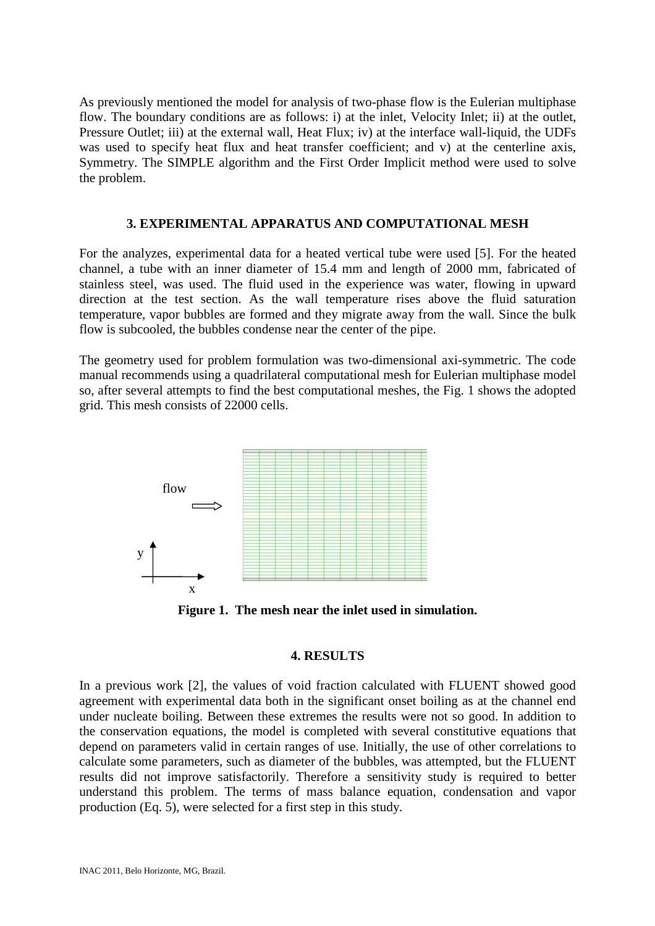As previously mentioned the model for analysis of two-phase flow is the Eulerian multiphase flow. The boundary conditions are as follows: i) at the inlet, Velocity Inlet; ii) at the outlet, Pressure Outlet; iii) at the external wall, Heat Flux; iv) at the interface wall-liquid, the UDFs was used to specify heat flux and heat transfer coefficient; and v) at the centerline axis, Symmetry. The SIMPLE algorithm and the First Order Implicit method were used to solve the problem.

### **3. EXPERIMENTAL APPARATUS AND COMPUTATIONAL MESH**

For the analyzes, experimental data for a heated vertical tube were used [5]. For the heated channel, a tube with an inner diameter of 15.4 mm and length of 2000 mm, fabricated of stainless steel, was used. The fluid used in the experience was water, flowing in upward direction at the test section. As the wall temperature rises above the fluid saturation temperature, vapor bubbles are formed and they migrate away from the wall. Since the bulk flow is subcooled, the bubbles condense near the center of the pipe.

The geometry used for problem formulation was two-dimensional axi-symmetric. The code manual recommends using a quadrilateral computational mesh for Eulerian multiphase model so, after several attempts to find the best computational meshes, the Fig. 1 shows the adopted grid. This mesh consists of 22000 cells.



**Figure 1. The mesh near the inlet used in simulation.**

### **4. RESULTS**

In a previous work [2], the values of void fraction calculated with FLUENT showed good agreement with experimental data both in the significant onset boiling as at the channel end under nucleate boiling. Between these extremes the results were not so good. In addition to the conservation equations, the model is completed with several constitutive equations that depend on parameters valid in certain ranges of use. Initially, the use of other correlations to calculate some parameters, such as diameter of the bubbles, was attempted, but the FLUENT results did not improve satisfactorily. Therefore a sensitivity study is required to better understand this problem. The terms of mass balance equation, condensation and vapor production (Eq. 5), were selected for a first step in this study.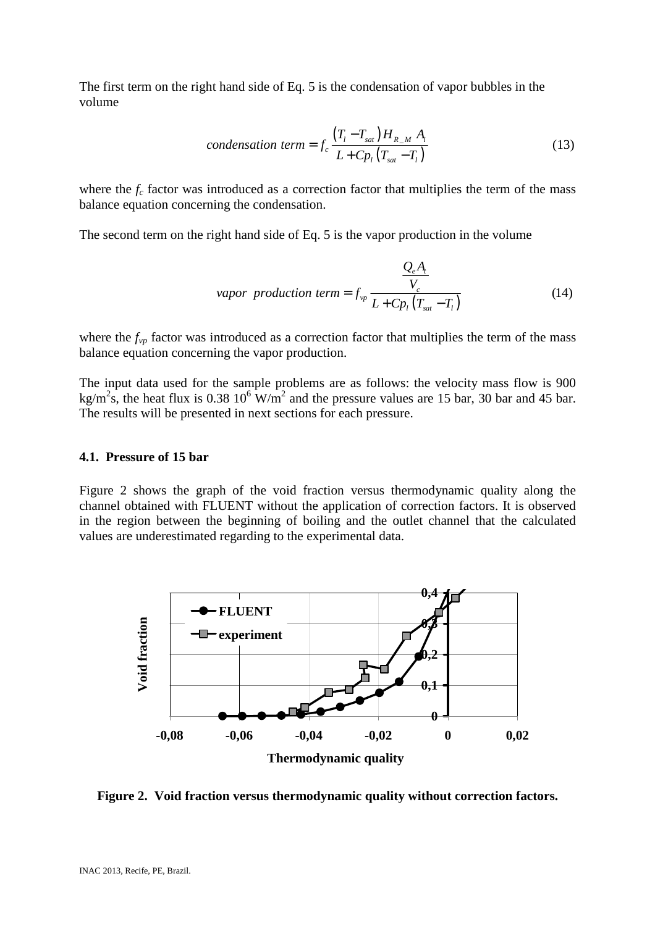The first term on the right hand side of Eq. 5 is the condensation of vapor bubbles in the volume

$$
condensation term = f_c \frac{\left(T_l - T_{sat}\right)H_{R_M} A_i}{L + C p_l \left(T_{sat} - T_l\right)}
$$
\n
$$
(13)
$$

where the  $f_c$  factor was introduced as a correction factor that multiplies the term of the mass balance equation concerning the condensation.

The second term on the right hand side of Eq. 5 is the vapor production in the volume

*Q<sub>e</sub>A<sub>t</sub>*  
\n*vapor production term* = 
$$
f_{vp} \frac{V_c}{L + C p_l (T_{sat} - T_l)}
$$
 (14)

where the  $f_{vp}$  factor was introduced as a correction factor that multiplies the term of the mass balance equation concerning the vapor production.

The input data used for the sample problems are as follows: the velocity mass flow is 900 kg/m<sup>2</sup>s, the heat flux is 0.38 10<sup>6</sup> W/m<sup>2</sup> and the pressure values are 15 bar, 30 bar and 45 bar. The results will be presented in next sections for each pressure.

#### **4.1. Pressure of 15 bar**

Figure 2 shows the graph of the void fraction versus thermodynamic quality along the channel obtained with FLUENT without the application of correction factors. It is observed in the region between the beginning of boiling and the outlet channel that the calculated values are underestimated regarding to the experimental data.



**Figure 2. Void fraction versus thermodynamic quality without correction factors.**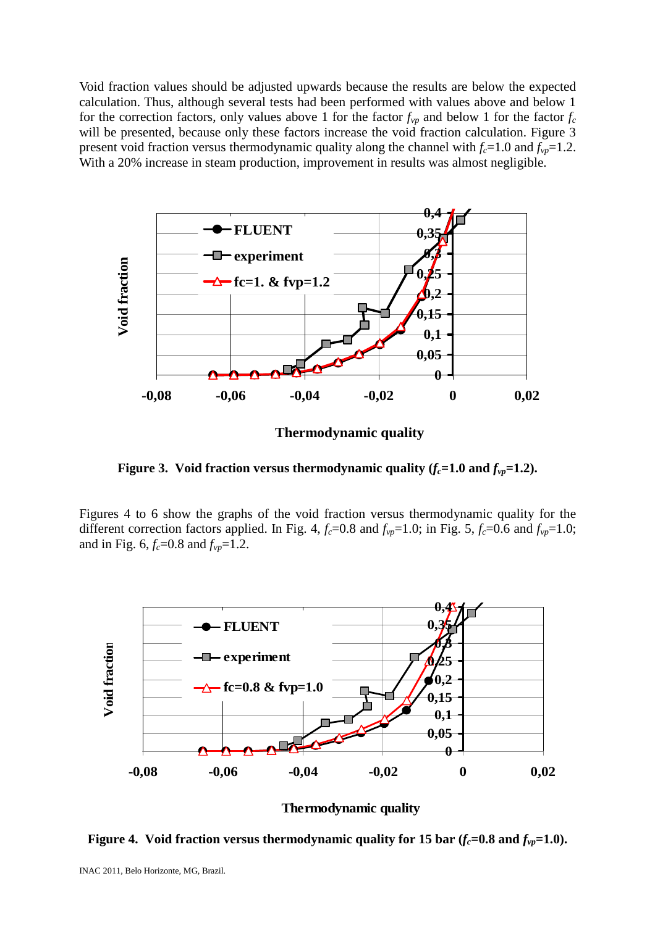Void fraction values should be adjusted upwards because the results are below the expected calculation. Thus, although several tests had been performed with values above and below 1 for the correction factors, only values above 1 for the factor  $f_{vp}$  and below 1 for the factor  $f_c$ will be presented, because only these factors increase the void fraction calculation. Figure 3 present void fraction versus thermodynamic quality along the channel with  $f_c$ =1.0 and  $f_{vp}$ =1.2. With a 20% increase in steam production, improvement in results was almost negligible.



**Thermodynamic quality**

**Figure 3. Void fraction versus thermodynamic quality**  $(f_c=1.0 \text{ and } f_{vp}=1.2)$ **.** 

Figures 4 to 6 show the graphs of the void fraction versus thermodynamic quality for the different correction factors applied. In Fig. 4,  $f_c$ =0.8 and  $f_{vp}$ =1.0; in Fig. 5,  $f_c$ =0.6 and  $f_{vp}$ =1.0; and in Fig. 6,  $f_c$ =0.8 and  $f_{vp}$ =1.2.



#### **Thermodynamic quality**

**Figure 4.** Void fraction versus thermodynamic quality for 15 bar  $(f_c=0.8 \text{ and } f_{vp}=1.0)$ .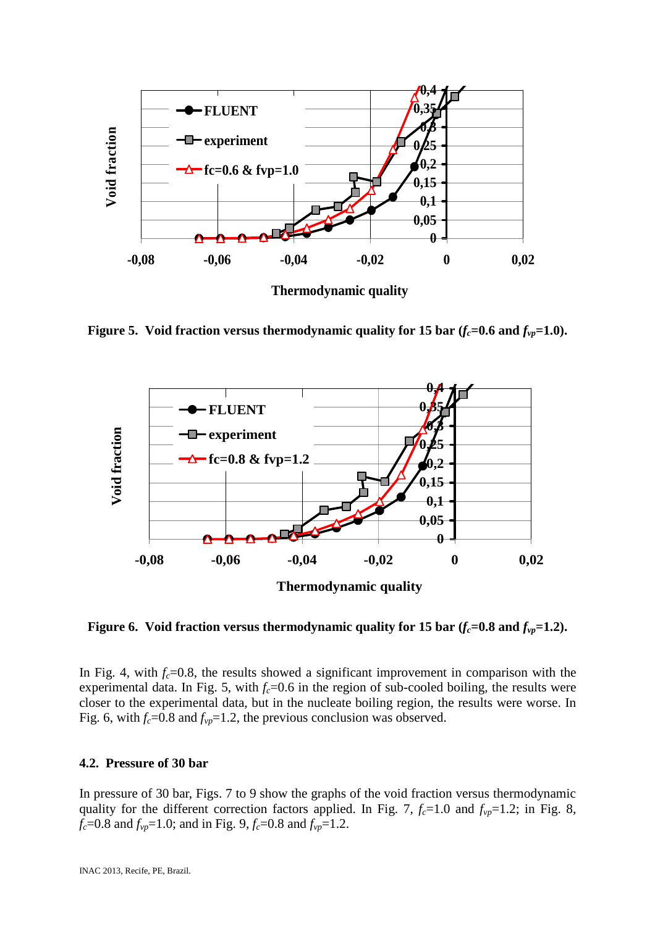

**Figure 5.** Void fraction versus thermodynamic quality for 15 bar  $(f_c=0.6 \text{ and } f_{vp}=1.0)$ .



**Figure 6.** Void fraction versus thermodynamic quality for 15 bar  $(f_c=0.8 \text{ and } f_{vp}=1.2)$ .

In Fig. 4, with  $f_c$ =0.8, the results showed a significant improvement in comparison with the experimental data. In Fig. 5, with  $f_c$ =0.6 in the region of sub-cooled boiling, the results were closer to the experimental data, but in the nucleate boiling region, the results were worse. In Fig. 6, with  $f_c$ =0.8 and  $f_{vp}$ =1.2, the previous conclusion was observed.

## **4.2. Pressure of 30 bar**

In pressure of 30 bar, Figs. 7 to 9 show the graphs of the void fraction versus thermodynamic quality for the different correction factors applied. In Fig. 7,  $f_c$ =1.0 and  $f_{vp}$ =1.2; in Fig. 8, *f*<sub>*c*</sub>=0.8 and *f*<sub>*vp*</sub>=1.0; and in Fig. 9, *f*<sub>*c*</sub>=0.8 and *f*<sub>*vp*</sub>=1.2.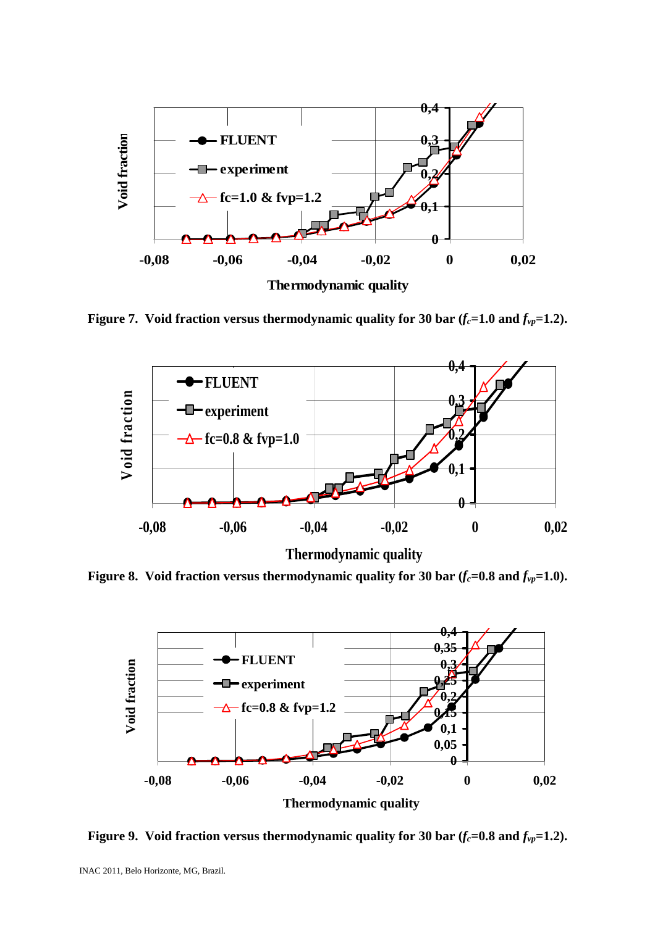

**Figure 7. Void fraction versus thermodynamic quality for 30 bar (***fc***=1.0 and** *fvp***=1.2).**



**Thermodynamic quality**

**Figure 8. Void fraction versus thermodynamic quality for 30 bar (***fc***=0.8 and** *fvp***=1.0).**



**Figure 9.** Void fraction versus thermodynamic quality for 30 bar  $(f_c=0.8 \text{ and } f_{vp}=1.2)$ .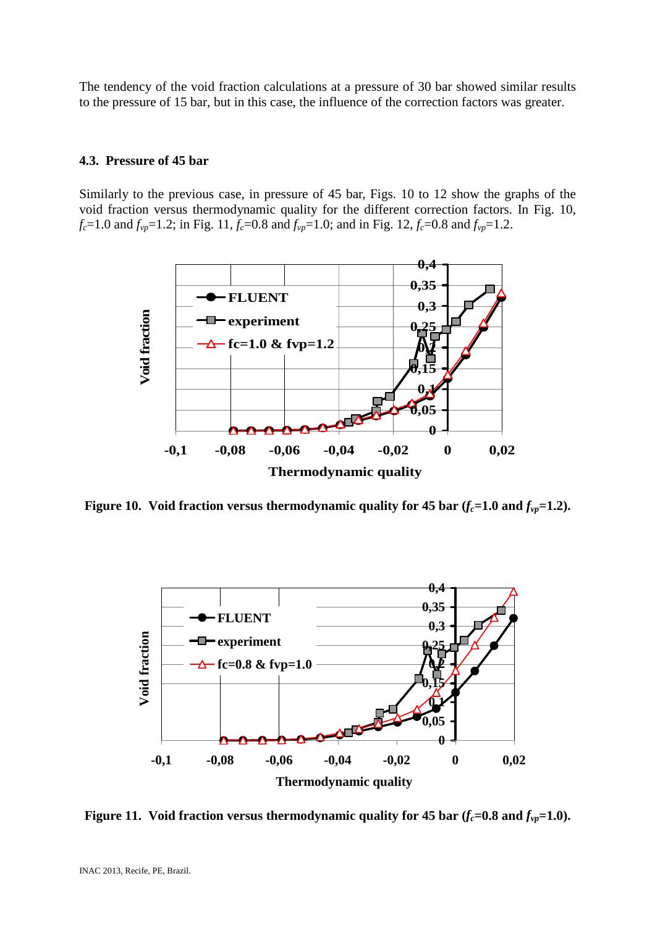The tendency of the void fraction calculations at a pressure of 30 bar showed similar results to the pressure of 15 bar, but in this case, the influence of the correction factors was greater.

#### **4.3. Pressure of 45 bar**

Similarly to the previous case, in pressure of 45 bar, Figs. 10 to 12 show the graphs of the void fraction versus thermodynamic quality for the different correction factors. In Fig. 10, *f*<sub>c</sub>=1.0 and *f*<sub>*vp*</sub>=1.2; in Fig. 11, *f*<sub>c</sub>=0.8 and *f*<sub>*vp*</sub>=1.0; and in Fig. 12, *f*<sub>c</sub>=0.8 and *f*<sub>*vp*</sub>=1.2.



**Figure 10. Void fraction versus thermodynamic quality for 45 bar**  $(f_c=1.0 \text{ and } f_{vp}=1.2)$ **.** 



**Figure 11. Void fraction versus thermodynamic quality for 45 bar**  $(f_c=0.8 \text{ and } f_{vp}=1.0)$ **.**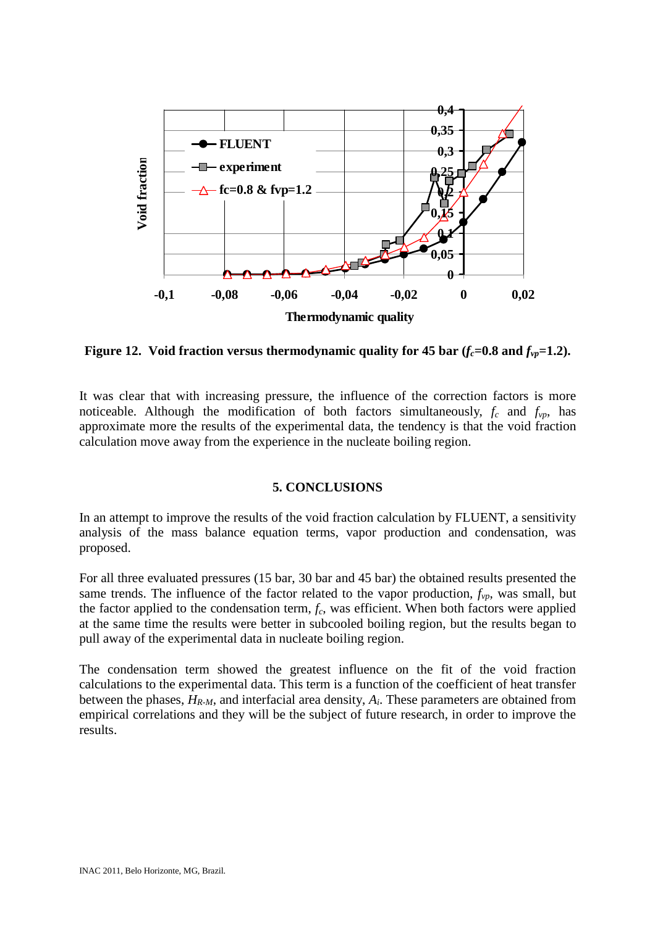

**Figure 12. Void fraction versus thermodynamic quality for 45 bar**  $(f_c=0.8 \text{ and } f_{\nu} = 1.2)$ **.** 

It was clear that with increasing pressure, the influence of the correction factors is more noticeable. Although the modification of both factors simultaneously,  $f_c$  and  $f_{vp}$ , has approximate more the results of the experimental data, the tendency is that the void fraction calculation move away from the experience in the nucleate boiling region.

### **5. CONCLUSIONS**

In an attempt to improve the results of the void fraction calculation by FLUENT, a sensitivity analysis of the mass balance equation terms, vapor production and condensation, was proposed.

For all three evaluated pressures (15 bar, 30 bar and 45 bar) the obtained results presented the same trends. The influence of the factor related to the vapor production,  $f_{vp}$ , was small, but the factor applied to the condensation term, *fc*, was efficient. When both factors were applied at the same time the results were better in subcooled boiling region, but the results began to pull away of the experimental data in nucleate boiling region.

The condensation term showed the greatest influence on the fit of the void fraction calculations to the experimental data. This term is a function of the coefficient of heat transfer between the phases, *HR-M*, and interfacial area density, *Ai*. These parameters are obtained from empirical correlations and they will be the subject of future research, in order to improve the results.